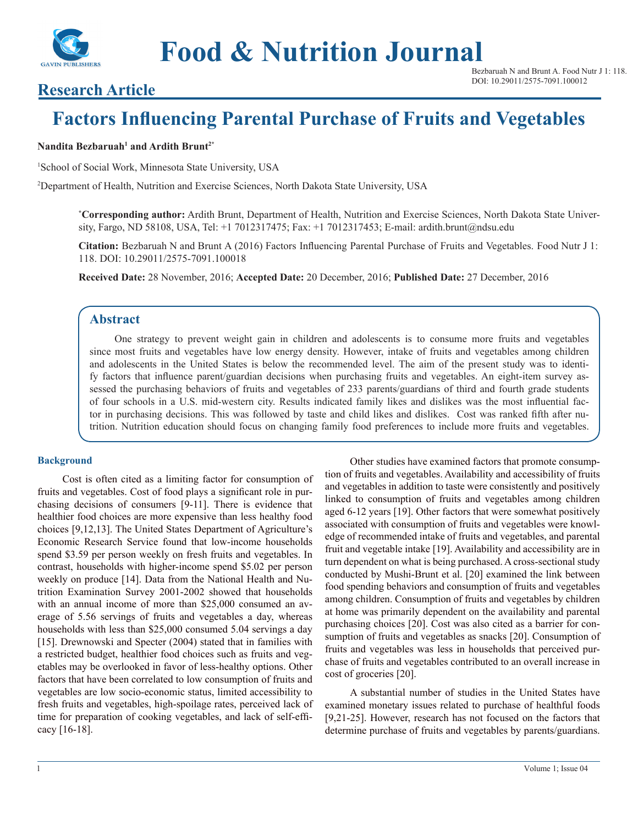

**Food & Nutrition Journal**

Bezbaruah N and Brunt A. Food Nutr J 1: 118. DOI: 10.29011/2575-7091.100012

## **Research Article**

# **Factors Influencing Parental Purchase of Fruits and Vegetables**

#### **Nandita Bezbaruah<sup>1</sup> and Ardith Brunt2\***

1 School of Social Work, Minnesota State University, USA

2 Department of Health, Nutrition and Exercise Sciences, North Dakota State University, USA

**\* Corresponding author:** Ardith Brunt, Department of Health, Nutrition and Exercise Sciences, North Dakota State University, Fargo, ND 58108, USA, Tel: +1 7012317475; Fax: +1 7012317453; E-mail: ardith.brunt@ndsu.edu

**Citation:** Bezbaruah N and Brunt A (2016) Factors Influencing Parental Purchase of Fruits and Vegetables. Food Nutr J 1: 118. DOI: 10.29011/2575-7091.100018

**Received Date:** 28 November, 2016; **Accepted Date:** 20 December, 2016; **Published Date:** 27 December, 2016

## **Abstract**

One strategy to prevent weight gain in children and adolescents is to consume more fruits and vegetables since most fruits and vegetables have low energy density. However, intake of fruits and vegetables among children and adolescents in the United States is below the recommended level. The aim of the present study was to identify factors that influence parent/guardian decisions when purchasing fruits and vegetables. An eight-item survey assessed the purchasing behaviors of fruits and vegetables of 233 parents/guardians of third and fourth grade students of four schools in a U.S. mid-western city. Results indicated family likes and dislikes was the most influential factor in purchasing decisions. This was followed by taste and child likes and dislikes. Cost was ranked fifth after nutrition. Nutrition education should focus on changing family food preferences to include more fruits and vegetables.

#### **Background**

Cost is often cited as a limiting factor for consumption of fruits and vegetables. Cost of food plays a significant role in purchasing decisions of consumers [9-11]. There is evidence that healthier food choices are more expensive than less healthy food choices [9,12,13]. The United States Department of Agriculture's Economic Research Service found that low-income households spend \$3.59 per person weekly on fresh fruits and vegetables. In contrast, households with higher-income spend \$5.02 per person weekly on produce [14]. Data from the National Health and Nutrition Examination Survey 2001-2002 showed that households with an annual income of more than \$25,000 consumed an average of 5.56 servings of fruits and vegetables a day, whereas households with less than \$25,000 consumed 5.04 servings a day [15]. Drewnowski and Specter (2004) stated that in families with a restricted budget, healthier food choices such as fruits and vegetables may be overlooked in favor of less-healthy options. Other factors that have been correlated to low consumption of fruits and vegetables are low socio-economic status, limited accessibility to fresh fruits and vegetables, high-spoilage rates, perceived lack of time for preparation of cooking vegetables, and lack of self-efficacy [16-18].

Other studies have examined factors that promote consumption of fruits and vegetables. Availability and accessibility of fruits and vegetables in addition to taste were consistently and positively linked to consumption of fruits and vegetables among children aged 6-12 years [19]. Other factors that were somewhat positively associated with consumption of fruits and vegetables were knowledge of recommended intake of fruits and vegetables, and parental fruit and vegetable intake [19]. Availability and accessibility are in turn dependent on what is being purchased. A cross-sectional study conducted by Mushi-Brunt et al. [20] examined the link between food spending behaviors and consumption of fruits and vegetables among children. Consumption of fruits and vegetables by children at home was primarily dependent on the availability and parental purchasing choices [20]. Cost was also cited as a barrier for consumption of fruits and vegetables as snacks [20]. Consumption of fruits and vegetables was less in households that perceived purchase of fruits and vegetables contributed to an overall increase in cost of groceries [20].

A substantial number of studies in the United States have examined monetary issues related to purchase of healthful foods [9,21-25]. However, research has not focused on the factors that determine purchase of fruits and vegetables by parents/guardians.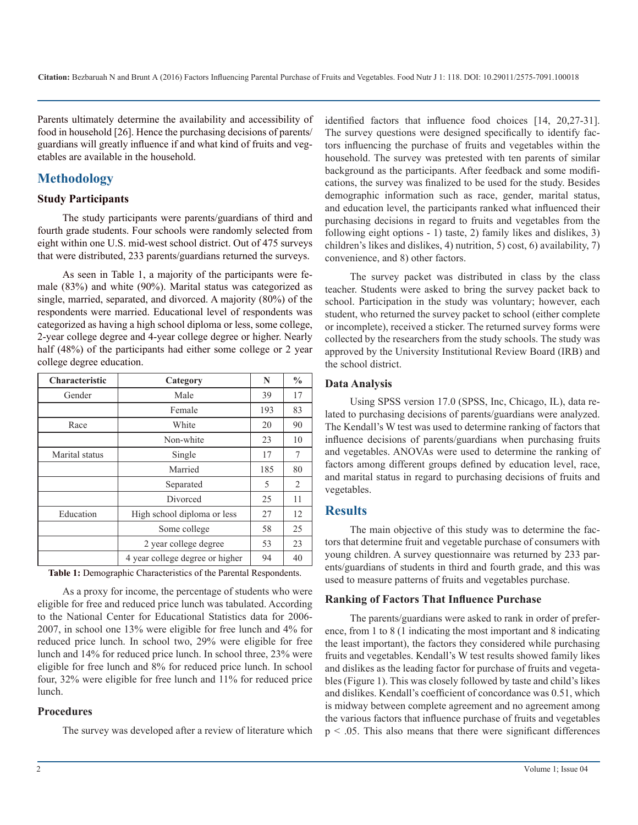Parents ultimately determine the availability and accessibility of food in household [26]. Hence the purchasing decisions of parents/ guardians will greatly influence if and what kind of fruits and vegetables are available in the household.

## **Methodology**

#### **Study Participants**

The study participants were parents/guardians of third and fourth grade students. Four schools were randomly selected from eight within one U.S. mid-west school district. Out of 475 surveys that were distributed, 233 parents/guardians returned the surveys.

As seen in Table 1, a majority of the participants were female (83%) and white (90%). Marital status was categorized as single, married, separated, and divorced. A majority (80%) of the respondents were married. Educational level of respondents was categorized as having a high school diploma or less, some college, 2-year college degree and 4-year college degree or higher. Nearly half (48%) of the participants had either some college or 2 year college degree education.

| Characteristic | Category                        | N   | $\frac{0}{0}$ |
|----------------|---------------------------------|-----|---------------|
| Gender         | Male                            | 39  | 17            |
|                | Female                          | 193 | 83            |
| Race           | White                           | 20  | 90            |
|                | Non-white                       | 23  | 10            |
| Marital status | Single                          | 17  | 7             |
|                | Married                         | 185 | 80            |
|                | Separated                       | 5   | 2             |
|                | Divorced                        | 25  | 11            |
| Education      | High school diploma or less     | 27  | 12            |
|                | Some college                    |     | 25            |
|                | 2 year college degree           | 53  | 23            |
|                | 4 year college degree or higher | 94  | 40            |

**Table 1:** Demographic Characteristics of the Parental Respondents.

As a proxy for income, the percentage of students who were eligible for free and reduced price lunch was tabulated. According to the National Center for Educational Statistics data for 2006- 2007, in school one 13% were eligible for free lunch and 4% for reduced price lunch. In school two, 29% were eligible for free lunch and 14% for reduced price lunch. In school three, 23% were eligible for free lunch and 8% for reduced price lunch. In school four, 32% were eligible for free lunch and 11% for reduced price lunch.

#### **Procedures**

The survey was developed after a review of literature which

identified factors that influence food choices [14, 20,27-31]. The survey questions were designed specifically to identify factors influencing the purchase of fruits and vegetables within the household. The survey was pretested with ten parents of similar background as the participants. After feedback and some modifications, the survey was finalized to be used for the study. Besides demographic information such as race, gender, marital status, and education level, the participants ranked what influenced their purchasing decisions in regard to fruits and vegetables from the following eight options - 1) taste, 2) family likes and dislikes, 3) children's likes and dislikes, 4) nutrition, 5) cost, 6) availability, 7) convenience, and 8) other factors.

The survey packet was distributed in class by the class teacher. Students were asked to bring the survey packet back to school. Participation in the study was voluntary; however, each student, who returned the survey packet to school (either complete or incomplete), received a sticker. The returned survey forms were collected by the researchers from the study schools. The study was approved by the University Institutional Review Board (IRB) and the school district.

### **Data Analysis**

Using SPSS version 17.0 (SPSS, Inc, Chicago, IL), data related to purchasing decisions of parents/guardians were analyzed. The Kendall's W test was used to determine ranking of factors that influence decisions of parents/guardians when purchasing fruits and vegetables. ANOVAs were used to determine the ranking of factors among different groups defined by education level, race, and marital status in regard to purchasing decisions of fruits and vegetables.

## **Results**

The main objective of this study was to determine the factors that determine fruit and vegetable purchase of consumers with young children. A survey questionnaire was returned by 233 parents/guardians of students in third and fourth grade, and this was used to measure patterns of fruits and vegetables purchase.

#### **Ranking of Factors That Influence Purchase**

The parents/guardians were asked to rank in order of preference, from 1 to 8 (1 indicating the most important and 8 indicating the least important), the factors they considered while purchasing fruits and vegetables. Kendall's W test results showed family likes and dislikes as the leading factor for purchase of fruits and vegetables (Figure 1). This was closely followed by taste and child's likes and dislikes. Kendall's coefficient of concordance was 0.51, which is midway between complete agreement and no agreement among the various factors that influence purchase of fruits and vegetables  $p < 0.05$ . This also means that there were significant differences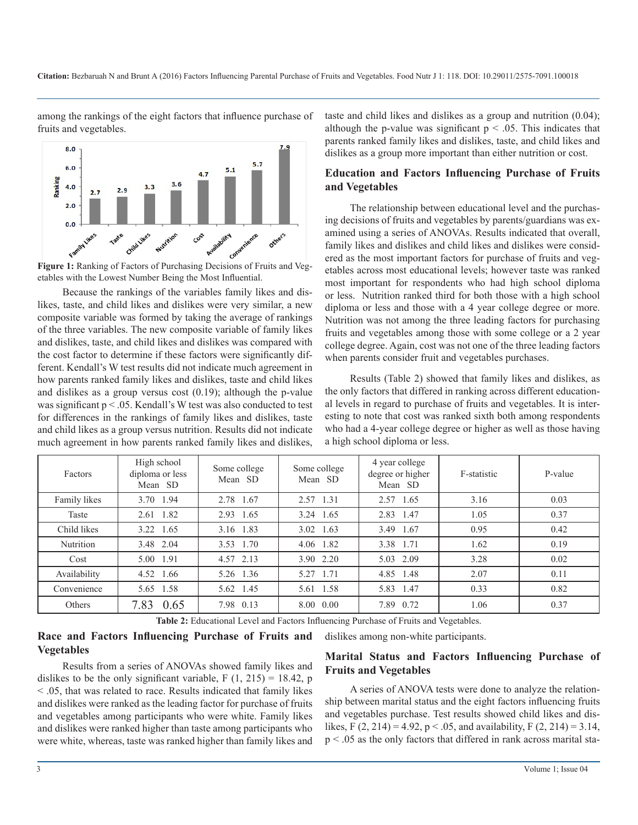among the rankings of the eight factors that influence purchase of fruits and vegetables.





Because the rankings of the variables family likes and dislikes, taste, and child likes and dislikes were very similar, a new composite variable was formed by taking the average of rankings of the three variables. The new composite variable of family likes and dislikes, taste, and child likes and dislikes was compared with the cost factor to determine if these factors were significantly different. Kendall's W test results did not indicate much agreement in how parents ranked family likes and dislikes, taste and child likes and dislikes as a group versus cost (0.19); although the p-value was significant p < .05. Kendall's W test was also conducted to test for differences in the rankings of family likes and dislikes, taste and child likes as a group versus nutrition. Results did not indicate much agreement in how parents ranked family likes and dislikes,

taste and child likes and dislikes as a group and nutrition (0.04); although the p-value was significant  $p < .05$ . This indicates that parents ranked family likes and dislikes, taste, and child likes and dislikes as a group more important than either nutrition or cost.

## **Education and Factors Influencing Purchase of Fruits and Vegetables**

The relationship between educational level and the purchasing decisions of fruits and vegetables by parents/guardians was examined using a series of ANOVAs. Results indicated that overall, family likes and dislikes and child likes and dislikes were considered as the most important factors for purchase of fruits and vegetables across most educational levels; however taste was ranked most important for respondents who had high school diploma or less. Nutrition ranked third for both those with a high school diploma or less and those with a 4 year college degree or more. Nutrition was not among the three leading factors for purchasing fruits and vegetables among those with some college or a 2 year college degree. Again, cost was not one of the three leading factors when parents consider fruit and vegetables purchases.

Results (Table 2) showed that family likes and dislikes, as the only factors that differed in ranking across different educational levels in regard to purchase of fruits and vegetables. It is interesting to note that cost was ranked sixth both among respondents who had a 4-year college degree or higher as well as those having a high school diploma or less.

| Factors      | High school<br>diploma or less<br>Mean SD | Some college<br>Mean SD | Some college<br>Mean SD | 4 year college<br>degree or higher<br>Mean SD | F-statistic | P-value |
|--------------|-------------------------------------------|-------------------------|-------------------------|-----------------------------------------------|-------------|---------|
| Family likes | 3.70 1.94                                 | 2.78 1.67               | 2.57 1.31               | 2.57<br>1.65                                  | 3.16        | 0.03    |
| Taste        | 2.61 1.82                                 | 2.93 1.65               | 3.24 1.65               | 2.83 1.47                                     | 1.05        | 0.37    |
| Child likes  | 3.22 1.65                                 | 3.16 1.83               | $3.02 \quad 1.63$       | 3.49 1.67                                     | 0.95        | 0.42    |
| Nutrition    | 3.48 2.04                                 | 3.53 1.70               | 4.06 1.82               | 3.38 1.71                                     | 1.62        | 0.19    |
| Cost         | 5.00 1.91                                 | 4.57 2.13               | 3.90 2.20               | 5.03 2.09                                     | 3.28        | 0.02    |
| Availability | 4.52 1.66                                 | 5.26 1.36               | 5.27 1.71               | 4.85 1.48                                     | 2.07        | 0.11    |
| Convenience  | 5.65 1.58                                 | 5.62 1.45               | 5.61 1.58               | 5.83 1.47                                     | 0.33        | 0.82    |
| Others       | 7.83 0.65                                 | 7.98 0.13               | 8.00 0.00               | 7.89 0.72                                     | 1.06        | 0.37    |

**Table 2:** Educational Level and Factors Influencing Purchase of Fruits and Vegetables.

#### **Race and Factors Influencing Purchase of Fruits and Vegetables**

Results from a series of ANOVAs showed family likes and dislikes to be the only significant variable,  $F(1, 215) = 18.42$ , p < .05, that was related to race. Results indicated that family likes and dislikes were ranked as the leading factor for purchase of fruits and vegetables among participants who were white. Family likes and dislikes were ranked higher than taste among participants who were white, whereas, taste was ranked higher than family likes and

dislikes among non-white participants.

## **Marital Status and Factors Influencing Purchase of Fruits and Vegetables**

A series of ANOVA tests were done to analyze the relationship between marital status and the eight factors influencing fruits and vegetables purchase. Test results showed child likes and dislikes, F  $(2, 214) = 4.92$ , p < .05, and availability, F  $(2, 214) = 3.14$ , p < .05 as the only factors that differed in rank across marital sta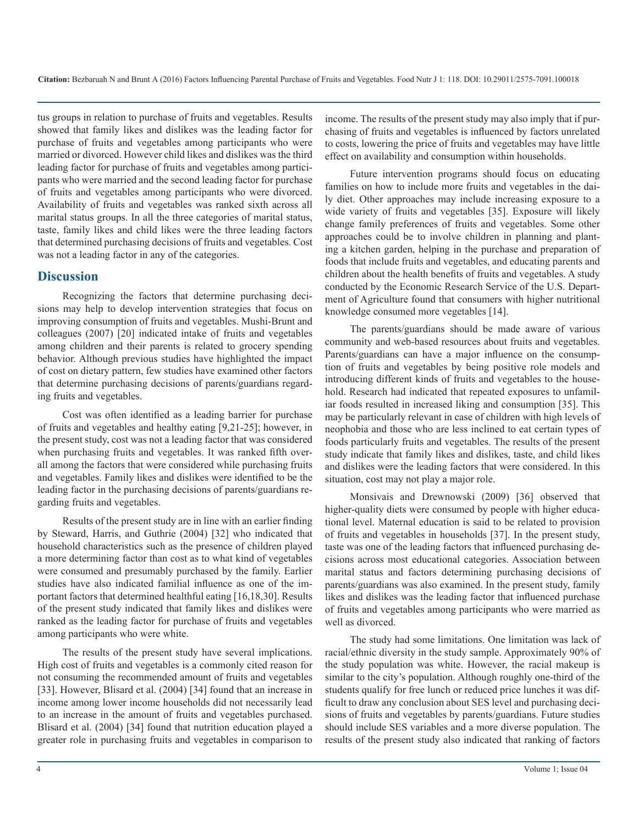tus groups in relation to purchase of fruits and vegetables. Results showed that family likes and dislikes was the leading factor for purchase of fruits and vegetables among participants who were married or divorced. However child likes and dislikes was the third leading factor for purchase of fruits and vegetables among participants who were married and the second leading factor for purchase of fruits and vegetables among participants who were divorced. Availability of fruits and vegetables was ranked sixth across all marital status groups. In all the three categories of marital status, taste, family likes and child likes were the three leading factors that determined purchasing decisions of fruits and vegetables. Cost was not a leading factor in any of the categories.

## **Discussion**

Recognizing the factors that determine purchasing decisions may help to develop intervention strategies that focus on improving consumption of fruits and vegetables. Mushi-Brunt and colleagues (2007) [20] indicated intake of fruits and vegetables among children and their parents is related to grocery spending behavior. Although previous studies have highlighted the impact of cost on dietary pattern, few studies have examined other factors that determine purchasing decisions of parents/guardians regarding fruits and vegetables.

Cost was often identified as a leading barrier for purchase of fruits and vegetables and healthy eating [9,21-25]; however, in the present study, cost was not a leading factor that was considered when purchasing fruits and vegetables. It was ranked fifth overall among the factors that were considered while purchasing fruits and vegetables. Family likes and dislikes were identified to be the leading factor in the purchasing decisions of parents/guardians regarding fruits and vegetables.

Results of the present study are in line with an earlier finding by Steward, Harris, and Guthrie (2004) [32] who indicated that household characteristics such as the presence of children played a more determining factor than cost as to what kind of vegetables were consumed and presumably purchased by the family. Earlier studies have also indicated familial influence as one of the important factors that determined healthful eating [16,18,30]. Results of the present study indicated that family likes and dislikes were ranked as the leading factor for purchase of fruits and vegetables among participants who were white.

The results of the present study have several implications. High cost of fruits and vegetables is a commonly cited reason for not consuming the recommended amount of fruits and vegetables [33]. However, Blisard et al. (2004) [34] found that an increase in income among lower income households did not necessarily lead to an increase in the amount of fruits and vegetables purchased. Blisard et al. (2004) [34] found that nutrition education played a greater role in purchasing fruits and vegetables in comparison to income. The results of the present study may also imply that if purchasing of fruits and vegetables is influenced by factors unrelated to costs, lowering the price of fruits and vegetables may have little effect on availability and consumption within households.

Future intervention programs should focus on educating families on how to include more fruits and vegetables in the daily diet. Other approaches may include increasing exposure to a wide variety of fruits and vegetables [35]. Exposure will likely change family preferences of fruits and vegetables. Some other approaches could be to involve children in planning and planting a kitchen garden, helping in the purchase and preparation of foods that include fruits and vegetables, and educating parents and children about the health benefits of fruits and vegetables. A study conducted by the Economic Research Service of the U.S. Department of Agriculture found that consumers with higher nutritional knowledge consumed more vegetables [14].

The parents/guardians should be made aware of various community and web-based resources about fruits and vegetables. Parents/guardians can have a major influence on the consumption of fruits and vegetables by being positive role models and introducing different kinds of fruits and vegetables to the household. Research had indicated that repeated exposures to unfamiliar foods resulted in increased liking and consumption [35]. This may be particularly relevant in case of children with high levels of neophobia and those who are less inclined to eat certain types of foods particularly fruits and vegetables. The results of the present study indicate that family likes and dislikes, taste, and child likes and dislikes were the leading factors that were considered. In this situation, cost may not play a major role.

Monsivais and Drewnowski (2009) [36] observed that higher-quality diets were consumed by people with higher educational level. Maternal education is said to be related to provision of fruits and vegetables in households [37]. In the present study, taste was one of the leading factors that influenced purchasing decisions across most educational categories. Association between marital status and factors determining purchasing decisions of parents/guardians was also examined. In the present study, family likes and dislikes was the leading factor that influenced purchase of fruits and vegetables among participants who were married as well as divorced.

The study had some limitations. One limitation was lack of racial/ethnic diversity in the study sample. Approximately 90% of the study population was white. However, the racial makeup is similar to the city's population. Although roughly one-third of the students qualify for free lunch or reduced price lunches it was difficult to draw any conclusion about SES level and purchasing decisions of fruits and vegetables by parents/guardians. Future studies should include SES variables and a more diverse population. The results of the present study also indicated that ranking of factors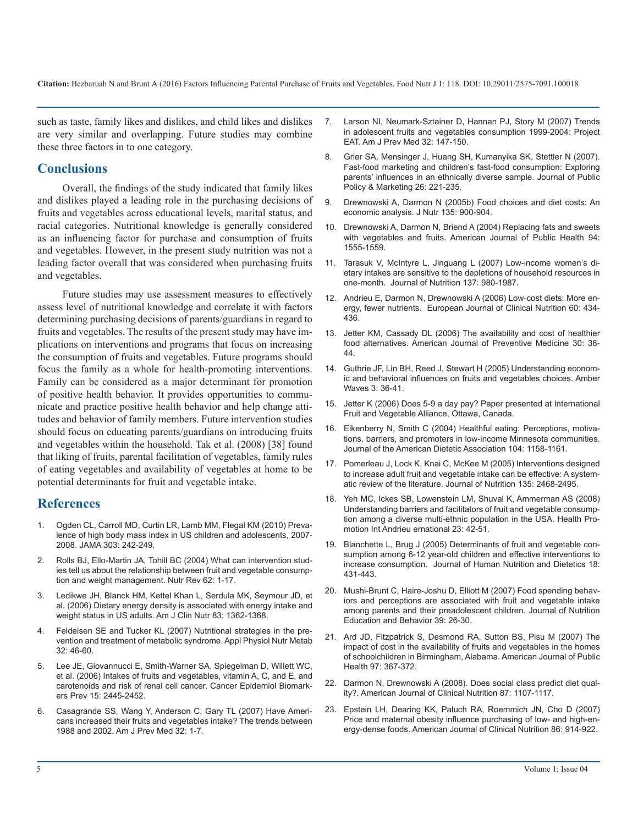**Citation:** Bezbaruah N and Brunt A (2016) Factors Influencing Parental Purchase of Fruits and Vegetables. Food Nutr J 1: 118. DOI: 10.29011/2575-7091.100018

such as taste, family likes and dislikes, and child likes and dislikes are very similar and overlapping. Future studies may combine these three factors in to one category.

## **Conclusions**

Overall, the findings of the study indicated that family likes and dislikes played a leading role in the purchasing decisions of fruits and vegetables across educational levels, marital status, and racial categories. Nutritional knowledge is generally considered as an influencing factor for purchase and consumption of fruits and vegetables. However, in the present study nutrition was not a leading factor overall that was considered when purchasing fruits and vegetables.

Future studies may use assessment measures to effectively assess level of nutritional knowledge and correlate it with factors determining purchasing decisions of parents/guardians in regard to fruits and vegetables. The results of the present study may have implications on interventions and programs that focus on increasing the consumption of fruits and vegetables. Future programs should focus the family as a whole for health-promoting interventions. Family can be considered as a major determinant for promotion of positive health behavior. It provides opportunities to communicate and practice positive health behavior and help change attitudes and behavior of family members. Future intervention studies should focus on educating parents/guardians on introducing fruits and vegetables within the household. Tak et al. (2008) [38] found that liking of fruits, parental facilitation of vegetables, family rules of eating vegetables and availability of vegetables at home to be potential determinants for fruit and vegetable intake.

## **References**

- Ogden CL, Carroll MD, Curtin LR, Lamb MM, Flegal KM (2010) Prevalence of high body mass index in US children and adolescents, 2007- 2008. JAMA 303: 242-249.
- 2. Rolls BJ, Ello-Martin JA, Tohill BC (2004) What can intervention studies tell us about the relationship between fruit and vegetable consumption and weight management. Nutr Rev 62: 1-17.
- 3. Ledikwe JH, Blanck HM, Kettel Khan L, Serdula MK, Seymour JD, et al. (2006) Dietary energy density is associated with energy intake and weight status in US adults. Am J Clin Nutr 83: 1362-1368.
- 4. Feldeisen SE and Tucker KL (2007) Nutritional strategies in the prevention and treatment of metabolic syndrome. Appl Physiol Nutr Metab  $32 \cdot 46 - 60$
- 5. Lee JE, Giovannucci E, Smith-Warner SA, Spiegelman D, Willett WC, et al. (2006) Intakes of fruits and vegetables, vitamin A, C, and E, and carotenoids and risk of renal cell cancer. Cancer Epidemiol Biomarkers Prev 15: 2445-2452.
- 6. Casagrande SS, Wang Y, Anderson C, Gary TL (2007) Have Americans increased their fruits and vegetables intake? The trends between 1988 and 2002. Am J Prev Med 32: 1-7.
- 7. Larson NI, Neumark-Sztainer D, Hannan PJ, Story M (2007) Trends in adolescent fruits and vegetables consumption 1999-2004: Project EAT. Am J Prev Med 32: 147-150.
- 8. Grier SA, Mensinger J, Huang SH, Kumanyika SK, Stettler N (2007). Fast-food marketing and children's fast-food consumption: Exploring parents' influences in an ethnically diverse sample. Journal of Public Policy & Marketing 26: 221-235.
- 9. Drewnowski A, Darmon N (2005b) Food choices and diet costs: An economic analysis. J Nutr 135: 900-904.
- 10. Drewnowski A, Darmon N, Briend A (2004) Replacing fats and sweets with vegetables and fruits. American Journal of Public Health 94: 1555-1559.
- 11. Tarasuk V, McIntyre L, Jinguang L (2007) Low-income women's dietary intakes are sensitive to the depletions of household resources in one-month. Journal of Nutrition 137: 980-1987.
- 12. Andrieu E, Darmon N, Drewnowski A (2006) Low-cost diets: More energy, fewer nutrients. European Journal of Clinical Nutrition 60: 434- 436.
- 13. Jetter KM, Cassady DL (2006) The availability and cost of healthier food alternatives. American Journal of Preventive Medicine 30: 38- 44.
- 14. Guthrie JF, Lin BH, Reed J, Stewart H (2005) Understanding economic and behavioral influences on fruits and vegetables choices. Amber Waves 3: 36-41.
- 15. Jetter K (2006) Does 5-9 a day pay? Paper presented at International Fruit and Vegetable Alliance, Ottawa, Canada.
- 16. Eikenberry N, Smith C (2004) Healthful eating: Perceptions, motivations, barriers, and promoters in low-income Minnesota communities. Journal of the American Dietetic Association 104: 1158-1161.
- 17. Pomerleau J, Lock K, Knai C, McKee M (2005) Interventions designed to increase adult fruit and vegetable intake can be effective: A systematic review of the literature. Journal of Nutrition 135: 2468-2495.
- 18. Yeh MC, Ickes SB, Lowenstein LM, Shuval K, Ammerman AS (2008) Understanding barriers and facilitators of fruit and vegetable consumption among a diverse multi-ethnic population in the USA. Health Promotion Int Andrieu ernational 23: 42-51.
- 19. Blanchette L, Brug J (2005) Determinants of fruit and vegetable consumption among 6-12 year-old children and effective interventions to increase consumption. Journal of Human Nutrition and Dietetics 18: 431-443.
- 20. Mushi-Brunt C, Haire-Joshu D, Elliott M (2007) Food spending behaviors and perceptions are associated with fruit and vegetable intake among parents and their preadolescent children. Journal of Nutrition Education and Behavior 39: 26-30.
- 21. Ard JD, Fitzpatrick S, Desmond RA, Sutton BS, Pisu M (2007) The impact of cost in the availability of fruits and vegetables in the homes of schoolchildren in Birmingham, Alabama. American Journal of Public Health 97: 367-372.
- 22. Darmon N, Drewnowski A (2008). Does social class predict diet quality?. American Journal of Clinical Nutrition 87: 1107-1117.
- 23. Epstein LH, Dearing KK, Paluch RA, Roemmich JN, Cho D (2007) Price and maternal obesity influence purchasing of low- and high-energy-dense foods. American Journal of Clinical Nutrition 86: 914-922.